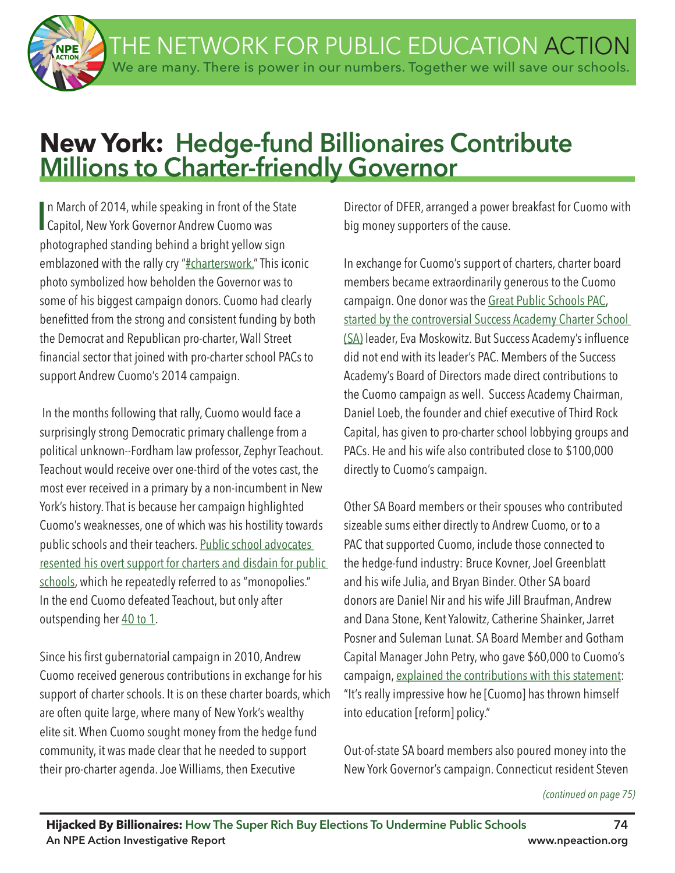THE NETWORK FOR PUBLIC EDUCATION ACTION We are many. There is power in our numbers. Together we will save our schools.

# **New York: Hedge-fund Billionaires Contribute Millions to Charter-friendly Governor**

In March of 2014, while speaking in front of the !<br>Capitol, New York Governor Andrew Cuomo was n March of 2014, while speaking in front of the State photographed standing behind a bright yellow sign emblazoned with the rally cry "#charterswork." This iconic photo symbolized how beholden the Governor was to some of his biggest campaign donors. Cuomo had clearly beneftted from the strong and consistent funding by both the Democrat and Republican pro-charter, Wall Street fnancial sector that joined with pro-charter school PACs to support Andrew Cuomo's 2014 campaign.

 In the months following that rally, Cuomo would face a surprisingly strong Democratic primary challenge from a political unknown--Fordham law professor, Zephyr Teachout. Teachout would receive over one-third of the votes cast, the most ever received in a primary by a non-incumbent in New York's history. That is because her campaign highlighted Cuomo's weaknesses, one of which was his hostility towards public schools and their teachers. Public school advocates resented his overt support for charters and disdain for public schools, which he repeatedly referred to as "monopolies." In the end Cuomo defeated Teachout, but only after outspending her 40 to 1.

Since his first gubernatorial campaign in 2010, Andrew Cuomo received generous contributions in exchange for his support of charter schools. It is on these charter boards, which are often quite large, where many of New York's wealthy elite sit. When Cuomo sought money from the hedge fund community, it was made clear that he needed to support their pro-charter agenda. Joe Williams, then Executive

Director of DFER, arranged a power breakfast for Cuomo with big money supporters of the cause.

In exchange for Cuomo's support of charters, charter board members became extraordinarily generous to the Cuomo campaign. One donor was the Great Public Schools PAC, started by the controversial Success Academy Charter School (SA) leader, Eva Moskowitz. But Success Academy's infuence did not end with its leader's PAC. Members of the Success Academy's Board of Directors made direct contributions to the Cuomo campaign as well. Success Academy Chairman, Daniel Loeb, the founder and chief executive of Third Rock Capital, has given to pro-charter school lobbying groups and PACs. He and his wife also contributed close to \$100,000 directly to Cuomo's campaign.

Other SA Board members or their spouses who contributed sizeable sums either directly to Andrew Cuomo, or to a PAC that supported Cuomo, include those connected to the hedge-fund industry: Bruce Kovner, Joel Greenblatt and his wife Julia, and Bryan Binder. Other SA board donors are Daniel Nir and his wife Jill Braufman, Andrew and Dana Stone, Kent Yalowitz, Catherine Shainker, Jarret Posner and Suleman Lunat. SA Board Member and Gotham Capital Manager John Petry, who gave \$60,000 to Cuomo's campaign, explained the contributions with this statement: "It's really impressive how he [Cuomo] has thrown himself into education [reform] policy."

Out-of-state SA board members also poured money into the New York Governor's campaign. Connecticut resident Steven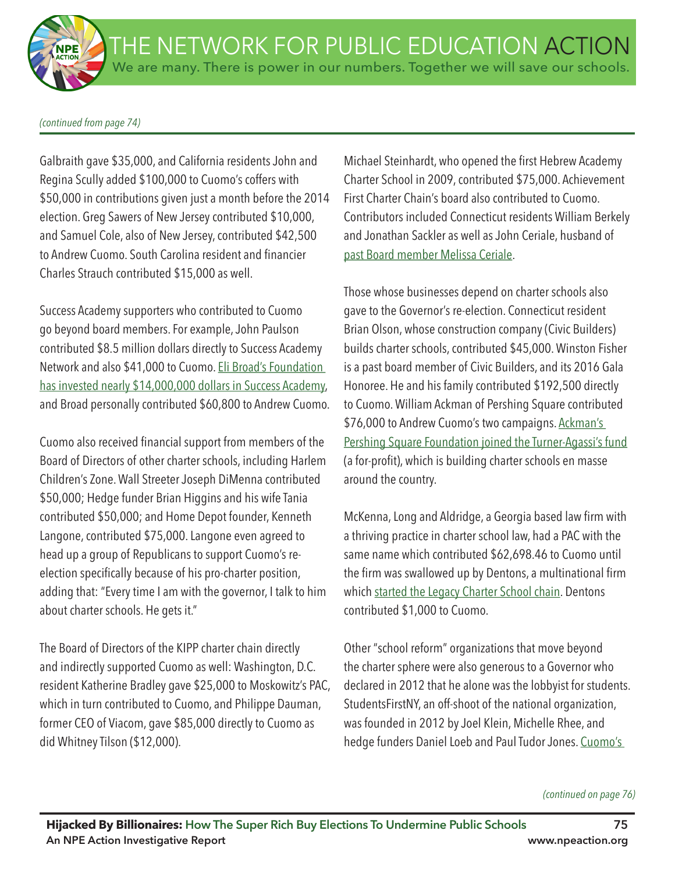#### *(continued from page 74)*

Galbraith gave \$35,000, and California residents John and Regina Scully added \$100,000 to Cuomo's coffers with \$50,000 in contributions given just a month before the 2014 election. Greg Sawers of New Jersey contributed \$10,000, and Samuel Cole, also of New Jersey, contributed \$42,500 to Andrew Cuomo. South Carolina resident and financier Charles Strauch contributed \$15,000 as well.

Success Academy supporters who contributed to Cuomo go beyond board members. For example, John Paulson contributed \$8.5 million dollars directly to Success Academy Network and also \$41,000 to Cuomo. Eli Broad's Foundation has invested nearly \$14,000,000 dollars in Success Academy, and Broad personally contributed \$60,800 to Andrew Cuomo.

Cuomo also received fnancial support from members of the Board of Directors of other charter schools, including Harlem Children's Zone. Wall Streeter Joseph DiMenna contributed \$50,000; Hedge funder Brian Higgins and his wife Tania contributed \$50,000; and Home Depot founder, Kenneth Langone, contributed \$75,000. Langone even agreed to head up a group of Republicans to support Cuomo's reelection specifically because of his pro-charter position, adding that: "Every time I am with the governor, I talk to him about charter schools. He gets it."

The Board of Directors of the KIPP charter chain directly and indirectly supported Cuomo as well: Washington, D.C. resident Katherine Bradley gave \$25,000 to Moskowitz's PAC, which in turn contributed to Cuomo, and Philippe Dauman, former CEO of Viacom, gave \$85,000 directly to Cuomo as did Whitney Tilson (\$12,000).

Michael Steinhardt, who opened the first Hebrew Academy Charter School in 2009, contributed \$75,000. Achievement First Charter Chain's board also contributed to Cuomo. Contributors included Connecticut residents William Berkely and Jonathan Sackler as well as John Ceriale, husband of past Board member Melissa Ceriale.

Those whose businesses depend on charter schools also gave to the Governor's re-election. Connecticut resident Brian Olson, whose construction company (Civic Builders) builds charter schools, contributed \$45,000. Winston Fisher is a past board member of Civic Builders, and its 2016 Gala Honoree. He and his family contributed \$192,500 directly to Cuomo. William Ackman of Pershing Square contributed \$76,000 to Andrew Cuomo's two campaigns. Ackman's Pershing Square Foundation joined the Turner-Agassi's fund (a for-proft), which is building charter schools en masse around the country.

McKenna, Long and Aldridge, a Georgia based law frm with a thriving practice in charter school law, had a PAC with the same name which contributed \$62,698.46 to Cuomo until the firm was swallowed up by Dentons, a multinational firm which started the Legacy Charter School chain. Dentons contributed \$1,000 to Cuomo.

Other "school reform" organizations that move beyond the charter sphere were also generous to a Governor who declared in 2012 that he alone was the lobbyist for students. StudentsFirstNY, an off-shoot of the national organization, was founded in 2012 by Joel Klein, Michelle Rhee, and hedge funders Daniel Loeb and Paul Tudor Jones. Cuomo's

#### *(continued on page 76)*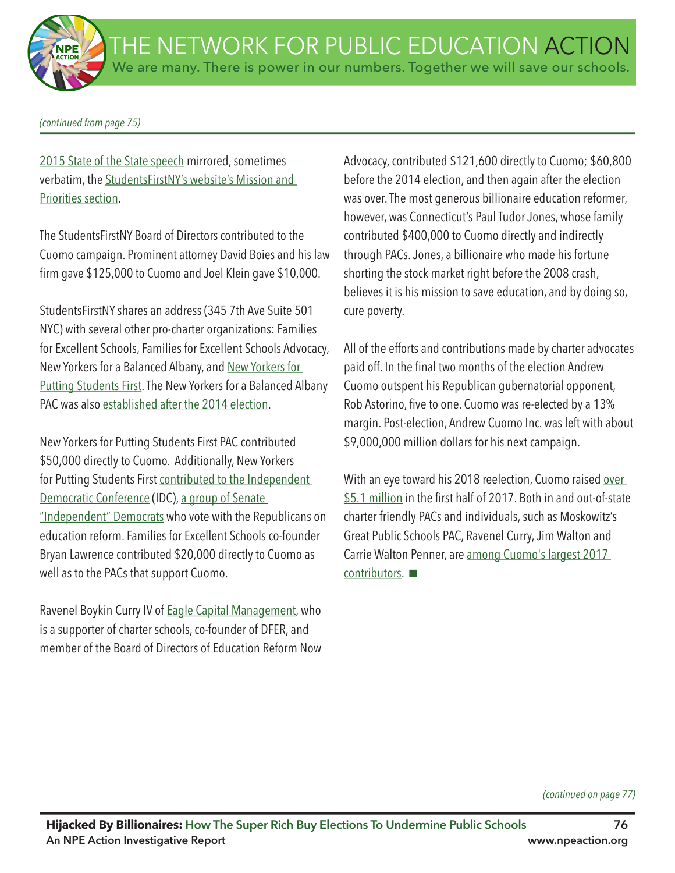*(continued from page 75)*

2015 State of the State speech mirrored, sometimes verbatim, the StudentsFirstNY's website's Mission and Priorities section.

The StudentsFirstNY Board of Directors contributed to the Cuomo campaign. Prominent attorney David Boies and his law firm gave \$125,000 to Cuomo and Joel Klein gave \$10,000.

StudentsFirstNY shares an address (345 7th Ave Suite 501 NYC) with several other pro-charter organizations: Families for Excellent Schools, Families for Excellent Schools Advocacy, New Yorkers for a Balanced Albany, and New Yorkers for Putting Students First. The New Yorkers for a Balanced Albany PAC was also established after the 2014 election.

New Yorkers for Putting Students First PAC contributed \$50,000 directly to Cuomo. Additionally, New Yorkers for Putting Students First contributed to the Independent Democratic Conference (IDC), a group of Senate "Independent" Democrats who vote with the Republicans on education reform. Families for Excellent Schools co-founder Bryan Lawrence contributed \$20,000 directly to Cuomo as well as to the PACs that support Cuomo.

Ravenel Boykin Curry IV of Eagle Capital Management, who is a supporter of charter schools, co-founder of DFER, and member of the Board of Directors of Education Reform Now Advocacy, contributed \$121,600 directly to Cuomo; \$60,800 before the 2014 election, and then again after the election was over. The most generous billionaire education reformer, however, was Connecticut's Paul Tudor Jones, whose family contributed \$400,000 to Cuomo directly and indirectly through PACs. Jones, a billionaire who made his fortune shorting the stock market right before the 2008 crash, believes it is his mission to save education, and by doing so, cure poverty.

All of the efforts and contributions made by charter advocates paid off. In the final two months of the election Andrew Cuomo outspent his Republican gubernatorial opponent, Rob Astorino, five to one. Cuomo was re-elected by a 13% margin. Post-election, Andrew Cuomo Inc. was left with about \$9,000,000 million dollars for his next campaign.

With an eye toward his 2018 reelection, Cuomo raised over \$5.1 million in the first half of 2017. Both in and out-of-state charter friendly PACs and individuals, such as Moskowitz's Great Public Schools PAC, Ravenel Curry, Jim Walton and Carrie Walton Penner, are among Cuomo's largest 2017  $contributors.$ 

*(continued on page 77)*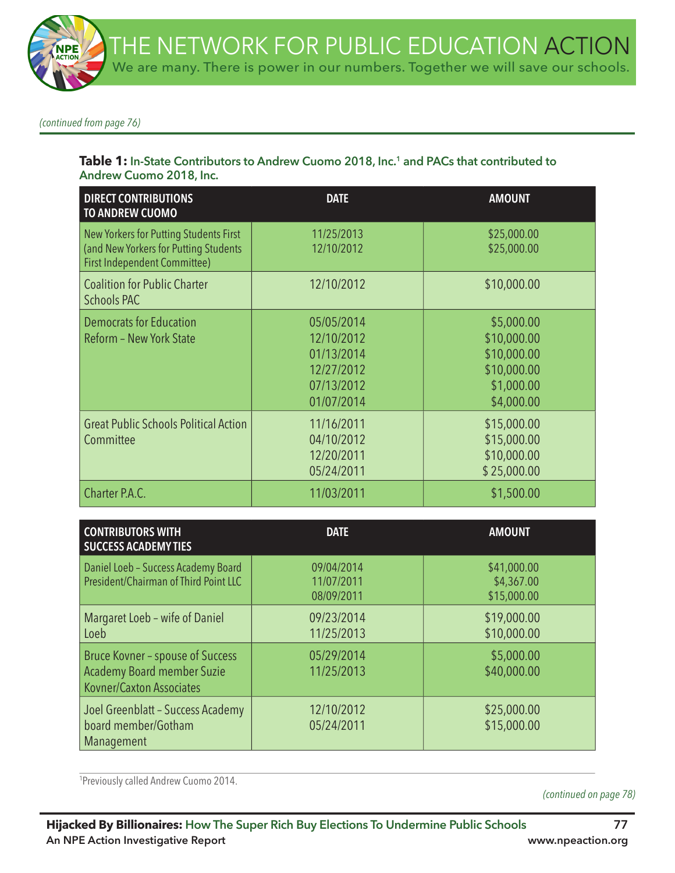*(continued from page 76)*

#### Table 1: In-State Contributors to Andrew Cuomo 2018, Inc.<sup>1</sup> and PACs that contributed to **Andrew Cuomo 2018, Inc.**

| <b>DIRECT CONTRIBUTIONS</b><br><b>TO ANDREW CUOMO</b>                                                                  | <b>DATE</b>                                                                      | <b>AMOUNT</b>                                                                       |
|------------------------------------------------------------------------------------------------------------------------|----------------------------------------------------------------------------------|-------------------------------------------------------------------------------------|
| New Yorkers for Putting Students First<br>(and New Yorkers for Putting Students<br><b>First Independent Committee)</b> | 11/25/2013<br>12/10/2012                                                         | \$25,000.00<br>\$25,000.00                                                          |
| <b>Coalition for Public Charter</b><br><b>Schools PAC</b>                                                              | 12/10/2012                                                                       | \$10,000.00                                                                         |
| <b>Democrats for Education</b><br>Reform - New York State                                                              | 05/05/2014<br>12/10/2012<br>01/13/2014<br>12/27/2012<br>07/13/2012<br>01/07/2014 | \$5,000.00<br>\$10,000.00<br>\$10,000.00<br>\$10,000.00<br>\$1,000.00<br>\$4,000.00 |
| <b>Great Public Schools Political Action</b><br>Committee                                                              | 11/16/2011<br>04/10/2012<br>12/20/2011<br>05/24/2011                             | \$15,000.00<br>\$15,000.00<br>\$10,000.00<br>\$25,000.00                            |
| Charter P.A.C.                                                                                                         | 11/03/2011                                                                       | \$1,500.00                                                                          |

| <b>CONTRIBUTORS WITH</b><br><b>SUCCESS ACADEMY TIES</b>                                                  | <b>DATE</b>                            | <b>AMOUNT</b>                            |
|----------------------------------------------------------------------------------------------------------|----------------------------------------|------------------------------------------|
| Daniel Loeb - Success Academy Board<br>President/Chairman of Third Point LLC                             | 09/04/2014<br>11/07/2011<br>08/09/2011 | \$41,000.00<br>\$4,367.00<br>\$15,000.00 |
| Margaret Loeb - wife of Daniel<br>Loeb                                                                   | 09/23/2014<br>11/25/2013               | \$19,000.00<br>\$10,000.00               |
| <b>Bruce Kovner - spouse of Success</b><br><b>Academy Board member Suzie</b><br>Kovner/Caxton Associates | 05/29/2014<br>11/25/2013               | \$5,000.00<br>\$40,000.00                |
| Joel Greenblatt - Success Academy<br>board member/Gotham<br>Management                                   | 12/10/2012<br>05/24/2011               | \$25,000.00<br>\$15,000.00               |

1 Previously called Andrew Cuomo 2014.

*(continued on page 78)*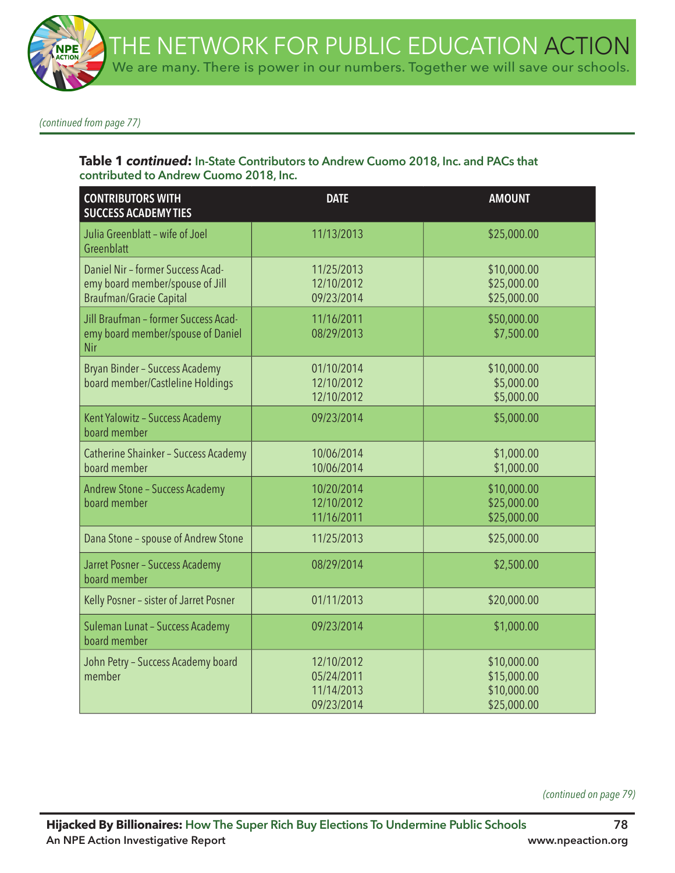*(continued from page 77)*

#### **Table 1** *continued***: In-State Contributors to Andrew Cuomo 2018, Inc. and PACs that contributed to Andrew Cuomo 2018, Inc.**

| <b>CONTRIBUTORS WITH</b><br><b>SUCCESS ACADEMY TIES</b>                                                | <b>DATE</b>                                          | <b>AMOUNT</b>                                            |
|--------------------------------------------------------------------------------------------------------|------------------------------------------------------|----------------------------------------------------------|
| Julia Greenblatt - wife of Joel<br>Greenblatt                                                          | 11/13/2013                                           | \$25,000.00                                              |
| Daniel Nir - former Success Acad-<br>emy board member/spouse of Jill<br><b>Braufman/Gracie Capital</b> | 11/25/2013<br>12/10/2012<br>09/23/2014               | \$10,000.00<br>\$25,000.00<br>\$25,000.00                |
| Jill Braufman - former Success Acad-<br>emy board member/spouse of Daniel<br>Nir                       | 11/16/2011<br>08/29/2013                             | \$50,000.00<br>\$7,500.00                                |
| Bryan Binder - Success Academy<br>board member/Castleline Holdings                                     | 01/10/2014<br>12/10/2012<br>12/10/2012               | \$10,000.00<br>\$5,000.00<br>\$5,000.00                  |
| Kent Yalowitz - Success Academy<br>board member                                                        | 09/23/2014                                           | \$5,000.00                                               |
| Catherine Shainker - Success Academy<br>board member                                                   | 10/06/2014<br>10/06/2014                             | \$1,000.00<br>\$1,000.00                                 |
| <b>Andrew Stone - Success Academy</b><br>board member                                                  | 10/20/2014<br>12/10/2012<br>11/16/2011               | \$10,000.00<br>\$25,000.00<br>\$25,000.00                |
| Dana Stone - spouse of Andrew Stone                                                                    | 11/25/2013                                           | \$25,000.00                                              |
| Jarret Posner - Success Academy<br>board member                                                        | 08/29/2014                                           | \$2,500.00                                               |
| Kelly Posner - sister of Jarret Posner                                                                 | 01/11/2013                                           | \$20,000.00                                              |
| Suleman Lunat - Success Academy<br>board member                                                        | 09/23/2014                                           | \$1,000.00                                               |
| John Petry - Success Academy board<br>member                                                           | 12/10/2012<br>05/24/2011<br>11/14/2013<br>09/23/2014 | \$10,000.00<br>\$15,000.00<br>\$10,000.00<br>\$25,000.00 |

*(continued on page 79)*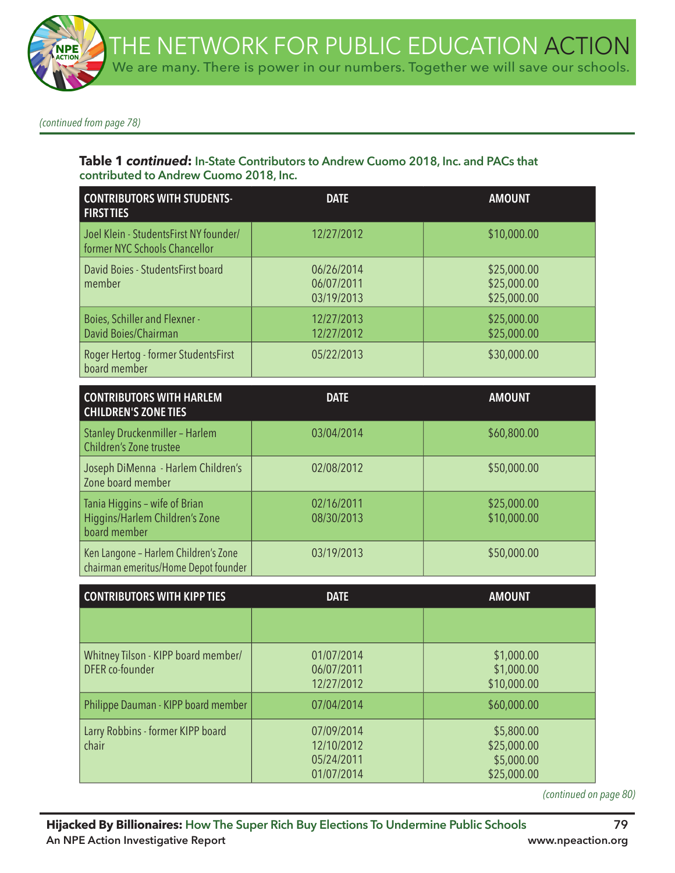

*(continued from page 78)*

#### **Table 1** *continued***: In-State Contributors to Andrew Cuomo 2018, Inc. and PACs that contributed to Andrew Cuomo 2018, Inc.**

| <b>CONTRIBUTORS WITH STUDENTS-</b><br><b>FIRST TIES</b>                 | <b>DATE</b>                            | <b>AMOUNT</b>                             |
|-------------------------------------------------------------------------|----------------------------------------|-------------------------------------------|
| Joel Klein - StudentsFirst NY founder/<br>former NYC Schools Chancellor | 12/27/2012                             | \$10,000.00                               |
| David Boies - StudentsFirst board<br>member                             | 06/26/2014<br>06/07/2011<br>03/19/2013 | \$25,000.00<br>\$25,000.00<br>\$25,000.00 |
| <b>Boies, Schiller and Flexner -</b><br>David Boies/Chairman            | 12/27/2013<br>12/27/2012               | \$25,000.00<br>\$25,000.00                |
| Roger Hertog - former StudentsFirst<br>board member                     | 05/22/2013                             | \$30,000.00                               |

| <b>CONTRIBUTORS WITH HARLEM</b><br><b>CHILDREN'S ZONE TIES</b>                  | <b>DATE</b>              | <b>AMOUNT</b>              |
|---------------------------------------------------------------------------------|--------------------------|----------------------------|
| Stanley Druckenmiller - Harlem<br>Children's Zone trustee                       | 03/04/2014               | \$60,800.00                |
| Joseph DiMenna - Harlem Children's<br>Zone board member                         | 02/08/2012               | \$50,000.00                |
| Tania Higgins - wife of Brian<br>Higgins/Harlem Children's Zone<br>board member | 02/16/2011<br>08/30/2013 | \$25,000.00<br>\$10,000.00 |
| Ken Langone - Harlem Children's Zone<br>chairman emeritus/Home Depot founder    | 03/19/2013               | \$50,000.00                |

| <b>CONTRIBUTORS WITH KIPP TIES</b>                     | <b>DATE</b>                                          | <b>AMOUNT</b>                                          |
|--------------------------------------------------------|------------------------------------------------------|--------------------------------------------------------|
|                                                        |                                                      |                                                        |
| Whitney Tilson - KIPP board member/<br>DFER co-founder | 01/07/2014<br>06/07/2011<br>12/27/2012               | \$1,000.00<br>\$1,000.00<br>\$10,000.00                |
| Philippe Dauman - KIPP board member                    | 07/04/2014                                           | \$60,000.00                                            |
| Larry Robbins - former KIPP board<br>chair             | 07/09/2014<br>12/10/2012<br>05/24/2011<br>01/07/2014 | \$5,800.00<br>\$25,000.00<br>\$5,000.00<br>\$25,000.00 |

*(continued on page 80)*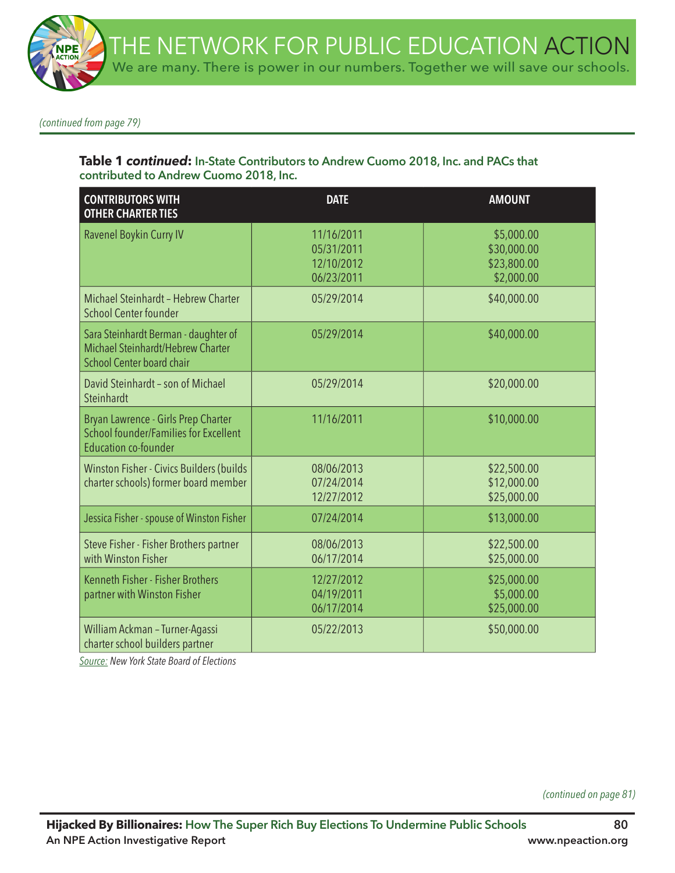*(continued from page 79)*

#### **Table 1** *continued***: In-State Contributors to Andrew Cuomo 2018, Inc. and PACs that contributed to Andrew Cuomo 2018, Inc.**

| <b>CONTRIBUTORS WITH</b><br><b>OTHER CHARTER TIES</b>                                                              | <b>DATE</b>                                          | <b>AMOUNT</b>                                          |
|--------------------------------------------------------------------------------------------------------------------|------------------------------------------------------|--------------------------------------------------------|
| Ravenel Boykin Curry IV                                                                                            | 11/16/2011<br>05/31/2011<br>12/10/2012<br>06/23/2011 | \$5,000.00<br>\$30,000.00<br>\$23,800.00<br>\$2,000.00 |
| Michael Steinhardt - Hebrew Charter<br><b>School Center founder</b>                                                | 05/29/2014                                           | \$40,000.00                                            |
| Sara Steinhardt Berman - daughter of<br>Michael Steinhardt/Hebrew Charter<br><b>School Center board chair</b>      | 05/29/2014                                           | \$40,000.00                                            |
| David Steinhardt - son of Michael<br>Steinhardt                                                                    | 05/29/2014                                           | \$20,000.00                                            |
| Bryan Lawrence - Girls Prep Charter<br><b>School founder/Families for Excellent</b><br><b>Education co-founder</b> | 11/16/2011                                           | \$10,000.00                                            |
| Winston Fisher - Civics Builders (builds<br>charter schools) former board member                                   | 08/06/2013<br>07/24/2014<br>12/27/2012               | \$22,500.00<br>\$12,000.00<br>\$25,000.00              |
| Jessica Fisher - spouse of Winston Fisher                                                                          | 07/24/2014                                           | \$13,000.00                                            |
| Steve Fisher - Fisher Brothers partner<br>with Winston Fisher                                                      | 08/06/2013<br>06/17/2014                             | \$22,500.00<br>\$25,000.00                             |
| Kenneth Fisher - Fisher Brothers<br>partner with Winston Fisher                                                    | 12/27/2012<br>04/19/2011<br>06/17/2014               | \$25,000.00<br>\$5,000.00<br>\$25,000.00               |
| William Ackman - Turner-Agassi<br>charter school builders partner                                                  | 05/22/2013                                           | \$50,000.00                                            |

*Source: New York State Board of Elections*

*(continued on page 81)*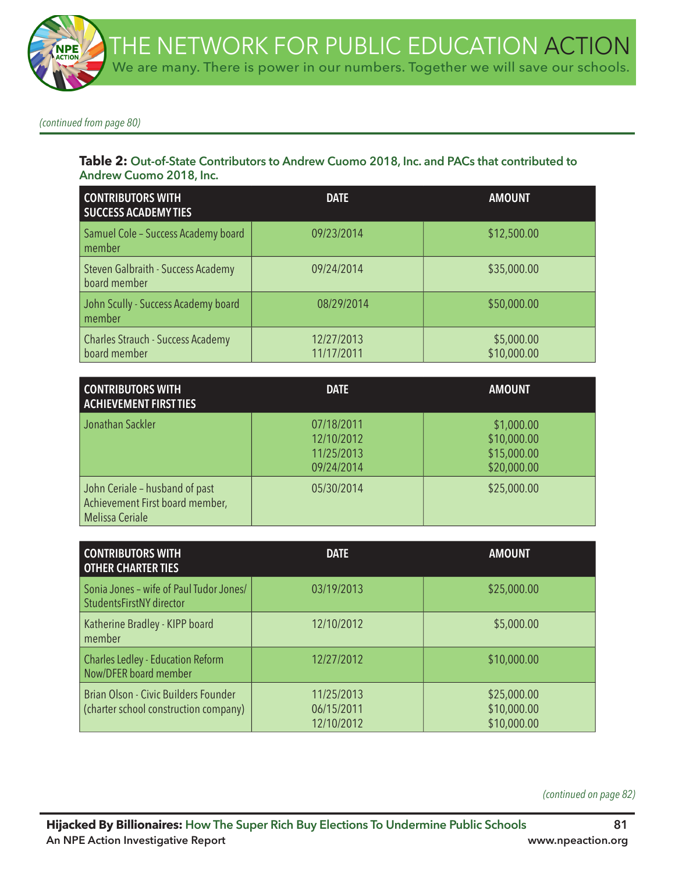*(continued from page 80)*

#### **Table 2: Out-of-State Contributors to Andrew Cuomo 2018, Inc. and PACs that contributed to Andrew Cuomo 2018, Inc.**

| <b>CONTRIBUTORS WITH</b><br><b>SUCCESS ACADEMY TIES</b>  | <b>DATE</b>              | <b>AMOUNT</b>             |
|----------------------------------------------------------|--------------------------|---------------------------|
| Samuel Cole - Success Academy board<br>member            | 09/23/2014               | \$12,500.00               |
| Steven Galbraith - Success Academy<br>board member       | 09/24/2014               | \$35,000.00               |
| John Scully - Success Academy board<br>member            | 08/29/2014               | \$50,000.00               |
| <b>Charles Strauch - Success Academy</b><br>board member | 12/27/2013<br>11/17/2011 | \$5,000.00<br>\$10,000.00 |

| <b>CONTRIBUTORS WITH</b><br><b>ACHIEVEMENT FIRST TIES</b>                                   | <b>DATE</b>                                          | <b>AMOUNT</b>                                           |
|---------------------------------------------------------------------------------------------|------------------------------------------------------|---------------------------------------------------------|
| Jonathan Sackler                                                                            | 07/18/2011<br>12/10/2012<br>11/25/2013<br>09/24/2014 | \$1,000.00<br>\$10,000.00<br>\$15,000.00<br>\$20,000.00 |
| John Ceriale - husband of past<br>Achievement First board member,<br><b>Melissa Ceriale</b> | 05/30/2014                                           | \$25,000.00                                             |

| <b>CONTRIBUTORS WITH</b><br><b>OTHER CHARTER TIES</b>                         | <b>DATE</b>                            | <b>AMOUNT</b>                             |
|-------------------------------------------------------------------------------|----------------------------------------|-------------------------------------------|
| Sonia Jones - wife of Paul Tudor Jones/<br>StudentsFirstNY director           | 03/19/2013                             | \$25,000.00                               |
| Katherine Bradley - KIPP board<br>member                                      | 12/10/2012                             | \$5,000.00                                |
| <b>Charles Ledley - Education Reform</b><br>Now/DFER board member             | 12/27/2012                             | \$10,000.00                               |
| Brian Olson - Civic Builders Founder<br>(charter school construction company) | 11/25/2013<br>06/15/2011<br>12/10/2012 | \$25,000.00<br>\$10,000.00<br>\$10,000.00 |

*(continued on page 82)*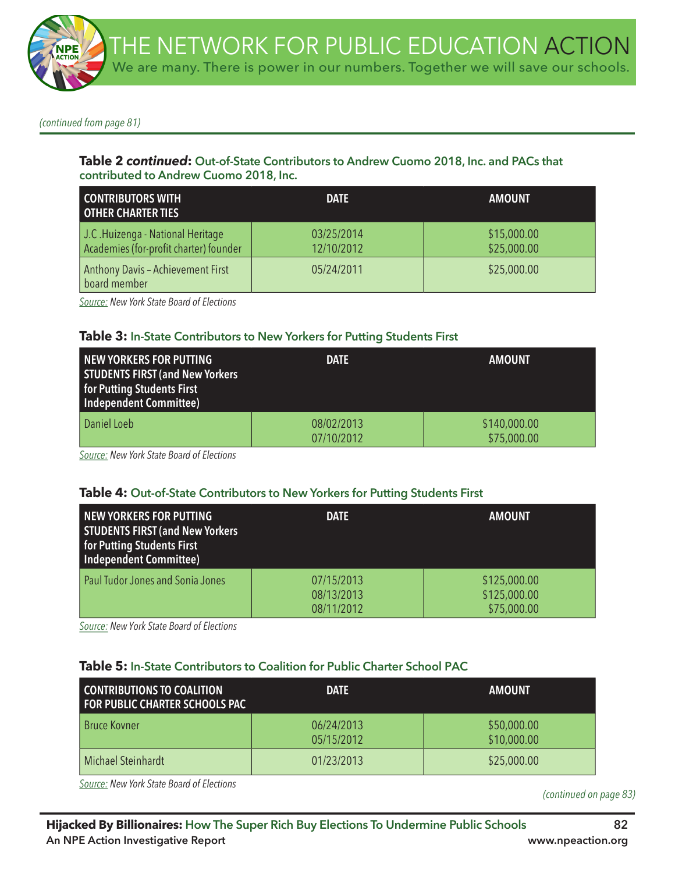*(continued from page 81)*

#### **Table 2** *continued***: Out-of-State Contributors to Andrew Cuomo 2018, Inc. and PACs that contributed to Andrew Cuomo 2018, Inc.**

| <b>CONTRIBUTORS WITH</b><br><b>OTHER CHARTER TIES</b>                       | <b>DATE</b>              | <b>AMOUNT</b>              |
|-----------------------------------------------------------------------------|--------------------------|----------------------------|
| J.C. Huizenga - National Heritage<br>Academies (for-profit charter) founder | 03/25/2014<br>12/10/2012 | \$15,000.00<br>\$25,000.00 |
| <b>Anthony Davis - Achievement First</b><br>board member                    | 05/24/2011               | \$25,000.00                |

*Source: New York State Board of Elections*

#### **Table 3: In-State Contributors to New Yorkers for Putting Students First**

| NEW YORKERS FOR PUTTING<br><b>STUDENTS FIRST (and New Yorkers)</b><br>for Putting Students First<br>Independent Committee) | <b>DATE</b>              | <b>AMOUNT</b>               |
|----------------------------------------------------------------------------------------------------------------------------|--------------------------|-----------------------------|
| Daniel Loeb                                                                                                                | 08/02/2013<br>07/10/2012 | \$140,000.00<br>\$75,000.00 |

*Source: New York State Board of Elections*

#### **Table 4: Out-of-State Contributors to New Yorkers for Putting Students First**

| <b>NEW YORKERS FOR PUTTING</b><br><b>STUDENTS FIRST (and New Yorkers)</b><br><b>for Putting Students First</b><br><b>Independent Committee)</b> | <b>DATE</b>                            | <b>AMOUNT</b>                               |
|-------------------------------------------------------------------------------------------------------------------------------------------------|----------------------------------------|---------------------------------------------|
| Paul Tudor Jones and Sonia Jones                                                                                                                | 07/15/2013<br>08/13/2013<br>08/11/2012 | \$125,000.00<br>\$125,000.00<br>\$75,000.00 |

*Source: New York State Board of Elections*

#### **Table 5: In-State Contributors to Coalition for Public Charter School PAC**

| <b>CONTRIBUTIONS TO COALITION</b><br><b>FOR PUBLIC CHARTER SCHOOLS PAC</b> | <b>DATE</b>              | <b>AMOUNT</b>              |
|----------------------------------------------------------------------------|--------------------------|----------------------------|
| <b>Bruce Kovner</b>                                                        | 06/24/2013<br>05/15/2012 | \$50,000.00<br>\$10,000.00 |
| Michael Steinhardt                                                         | 01/23/2013               | \$25,000.00                |

*Source: New York State Board of Elections*

*(continued on page 83)*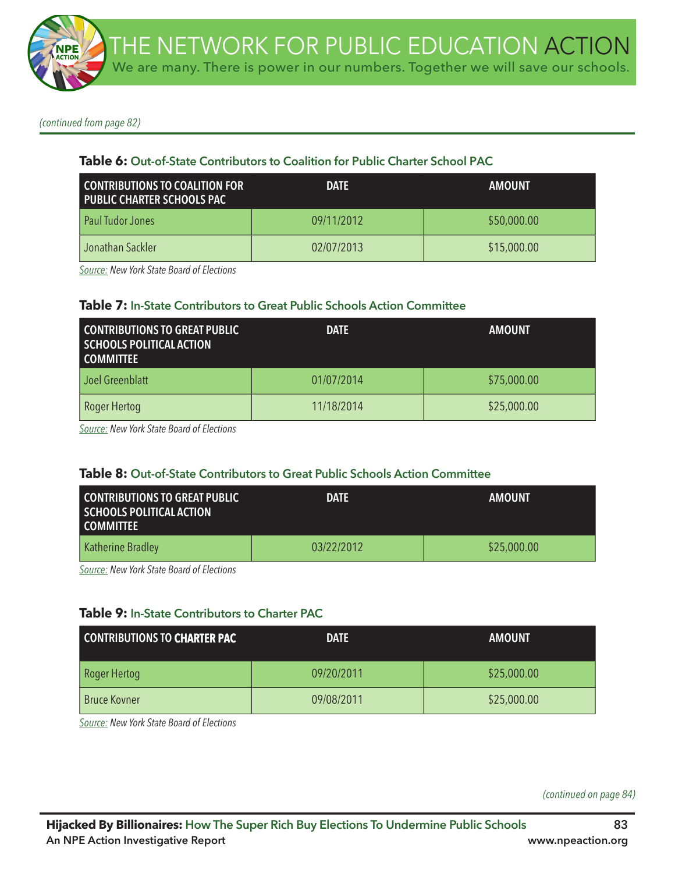*(continued from page 82)*

# **Table 6: Out-of-State Contributors to Coalition for Public Charter School PAC**

| <b>CONTRIBUTIONS TO COALITION FOR</b><br><b>PUBLIC CHARTER SCHOOLS PAC</b> | <b>DATE</b> | <b>AMOUNT</b> |
|----------------------------------------------------------------------------|-------------|---------------|
| Paul Tudor Jones                                                           | 09/11/2012  | \$50,000.00   |
| Jonathan Sackler                                                           | 02/07/2013  | \$15,000.00   |

*Source: New York State Board of Elections*

#### **Table 7: In-State Contributors to Great Public Schools Action Committee**

| <b>CONTRIBUTIONS TO GREAT PUBLIC</b><br><b>SCHOOLS POLITICAL ACTION</b><br><b>COMMITTEE</b> | <b>DATE</b> | <b>AMOUNT</b> |
|---------------------------------------------------------------------------------------------|-------------|---------------|
| Joel Greenblatt                                                                             | 01/07/2014  | \$75,000.00   |
| Roger Hertog                                                                                | 11/18/2014  | \$25,000.00   |

*Source: New York State Board of Elections*

# **Table 8: Out-of-State Contributors to Great Public Schools Action Committee**

| CONTRIBUTIONS TO GREAT PUBLIC<br>SCHOOLS POLITICAL ACTION<br><b>COMMITTEE</b> | <b>DATE</b> | <b>AMOUNT</b> |
|-------------------------------------------------------------------------------|-------------|---------------|
| Katherine Bradley                                                             | 03/22/2012  | \$25,000.00   |

*Source: New York State Board of Elections*

# **Table 9: In-State Contributors to Charter PAC**

| <b>CONTRIBUTIONS TO CHARTER PAC</b> | <b>DATE</b> | <b>AMOUNT</b> |
|-------------------------------------|-------------|---------------|
| Roger Hertog                        | 09/20/2011  | \$25,000.00   |
| <b>Bruce Kovner</b>                 | 09/08/2011  | \$25,000.00   |

*Source: New York State Board of Elections*

*(continued on page 84)*